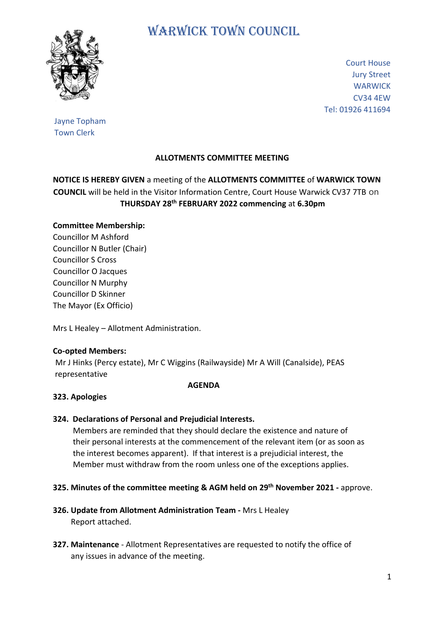

# WARWICK TOWN COUNCIL

Court House Jury Street **WARWICK** CV34 4EW Tel: 01926 411694

## Jayne Topham Town Clerk

# **ALLOTMENTS COMMITTEE MEETING**

# **NOTICE IS HEREBY GIVEN** a meeting of the **ALLOTMENTS COMMITTEE** of **WARWICK TOWN COUNCIL** will be held in the Visitor Information Centre, Court House Warwick CV37 7TB on **THURSDAY 28 th FEBRUARY 2022 commencing** at **6.30pm**

## **Committee Membership:**

Councillor M Ashford Councillor N Butler (Chair) Councillor S Cross Councillor O Jacques Councillor N Murphy Councillor D Skinner The Mayor (Ex Officio)

Mrs L Healey – Allotment Administration.

#### **Co-opted Members:**

Mr J Hinks (Percy estate), Mr C Wiggins (Railwayside) Mr A Will (Canalside), PEAS representative

#### **AGENDA**

#### **323. Apologies**

#### **324. Declarations of Personal and Prejudicial Interests.**

 Members are reminded that they should declare the existence and nature of their personal interests at the commencement of the relevant item (or as soon as the interest becomes apparent). If that interest is a prejudicial interest, the Member must withdraw from the room unless one of the exceptions applies.

#### **325. Minutes of the committee meeting & AGM held on 29th November 2021 -** approve.

- **326. Update from Allotment Administration Team -** Mrs L Healey Report attached.
- **327. Maintenance** Allotment Representatives are requested to notify the office of any issues in advance of the meeting.